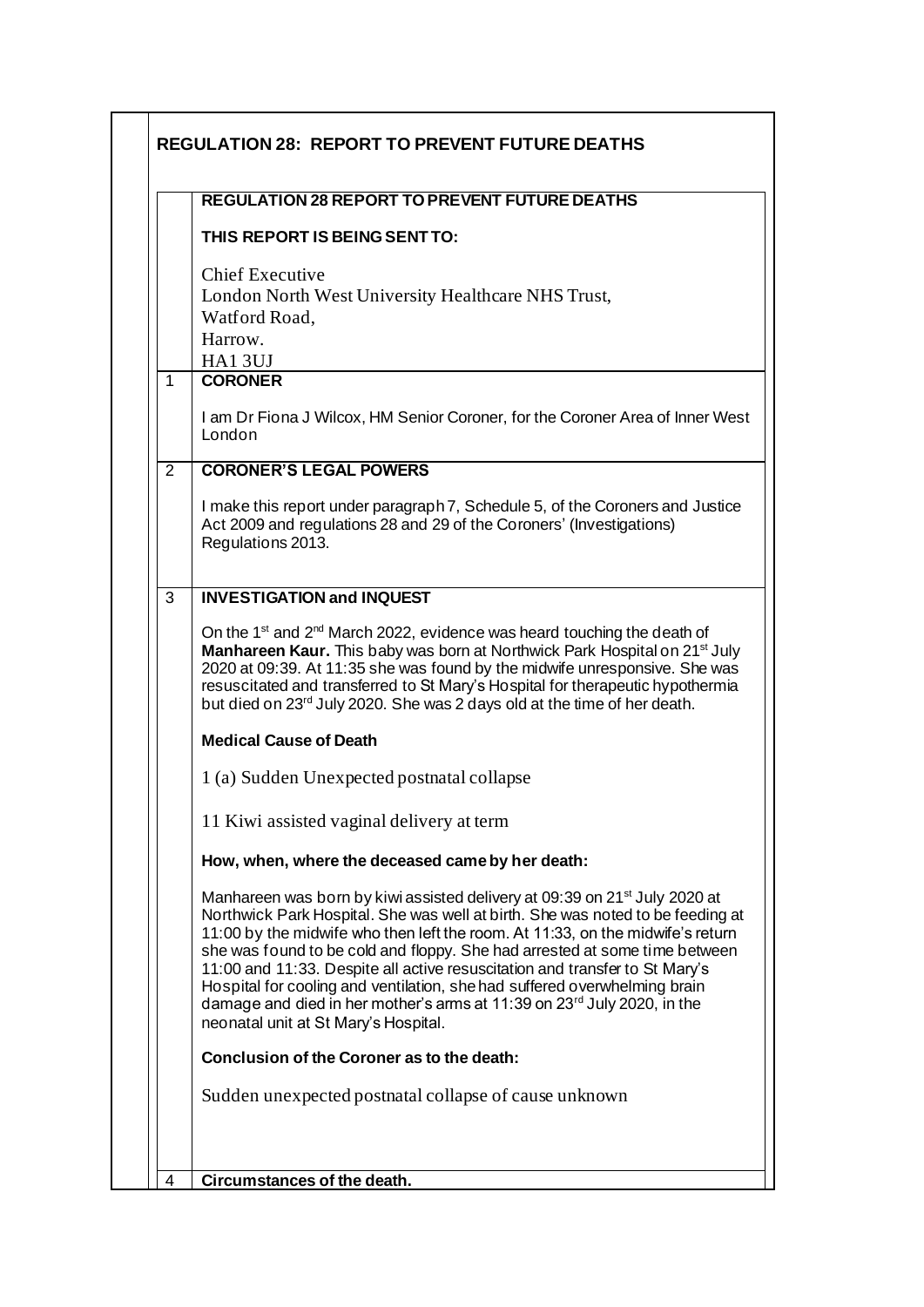|                | <b>REGULATION 28 REPORT TO PREVENT FUTURE DEATHS</b>                                                                                                                                                                                                                                                                                                                                                                                                                                                                                                                                                                                |
|----------------|-------------------------------------------------------------------------------------------------------------------------------------------------------------------------------------------------------------------------------------------------------------------------------------------------------------------------------------------------------------------------------------------------------------------------------------------------------------------------------------------------------------------------------------------------------------------------------------------------------------------------------------|
|                | THIS REPORT IS BEING SENT TO:                                                                                                                                                                                                                                                                                                                                                                                                                                                                                                                                                                                                       |
|                | <b>Chief Executive</b><br>London North West University Healthcare NHS Trust,<br>Watford Road,<br>Harrow.                                                                                                                                                                                                                                                                                                                                                                                                                                                                                                                            |
| $\mathbf{1}$   | HA13UJ<br><b>CORONER</b>                                                                                                                                                                                                                                                                                                                                                                                                                                                                                                                                                                                                            |
|                | I am Dr Fiona J Wilcox, HM Senior Coroner, for the Coroner Area of Inner West<br>London                                                                                                                                                                                                                                                                                                                                                                                                                                                                                                                                             |
| $\overline{2}$ | <b>CORONER'S LEGAL POWERS</b>                                                                                                                                                                                                                                                                                                                                                                                                                                                                                                                                                                                                       |
|                | I make this report under paragraph 7, Schedule 5, of the Coroners and Justice<br>Act 2009 and regulations 28 and 29 of the Coroners' (Investigations)<br>Regulations 2013.                                                                                                                                                                                                                                                                                                                                                                                                                                                          |
| 3              | <b>INVESTIGATION and INQUEST</b>                                                                                                                                                                                                                                                                                                                                                                                                                                                                                                                                                                                                    |
|                | On the 1 <sup>st</sup> and $2^{nd}$ March 2022, evidence was heard touching the death of<br>Manhareen Kaur. This baby was born at Northwick Park Hospital on 21 <sup>st</sup> July<br>2020 at 09:39. At 11:35 she was found by the midwife unresponsive. She was<br>resuscitated and transferred to St Mary's Hospital for therapeutic hypothermia<br>but died on 23 <sup>rd</sup> July 2020. She was 2 days old at the time of her death.                                                                                                                                                                                          |
|                | <b>Medical Cause of Death</b>                                                                                                                                                                                                                                                                                                                                                                                                                                                                                                                                                                                                       |
|                | 1(a) Sudden Unexpected postnatal collapse                                                                                                                                                                                                                                                                                                                                                                                                                                                                                                                                                                                           |
|                | 11 Kiwi assisted vaginal delivery at term                                                                                                                                                                                                                                                                                                                                                                                                                                                                                                                                                                                           |
|                | How, when, where the deceased came by her death:                                                                                                                                                                                                                                                                                                                                                                                                                                                                                                                                                                                    |
|                | Manhareen was born by kiwi assisted delivery at 09:39 on 21 <sup>st</sup> July 2020 at<br>Northwick Park Hospital. She was well at birth. She was noted to be feeding at<br>11:00 by the midwife who then left the room. At 11:33, on the midwife's return<br>she was found to be cold and floppy. She had arrested at some time between<br>11:00 and 11:33. Despite all active resuscitation and transfer to St Mary's<br>Hospital for cooling and ventilation, she had suffered overwhelming brain<br>damage and died in her mother's arms at 11:39 on 23 <sup>rd</sup> July 2020, in the<br>neonatal unit at St Mary's Hospital. |
|                | Conclusion of the Coroner as to the death:                                                                                                                                                                                                                                                                                                                                                                                                                                                                                                                                                                                          |
|                |                                                                                                                                                                                                                                                                                                                                                                                                                                                                                                                                                                                                                                     |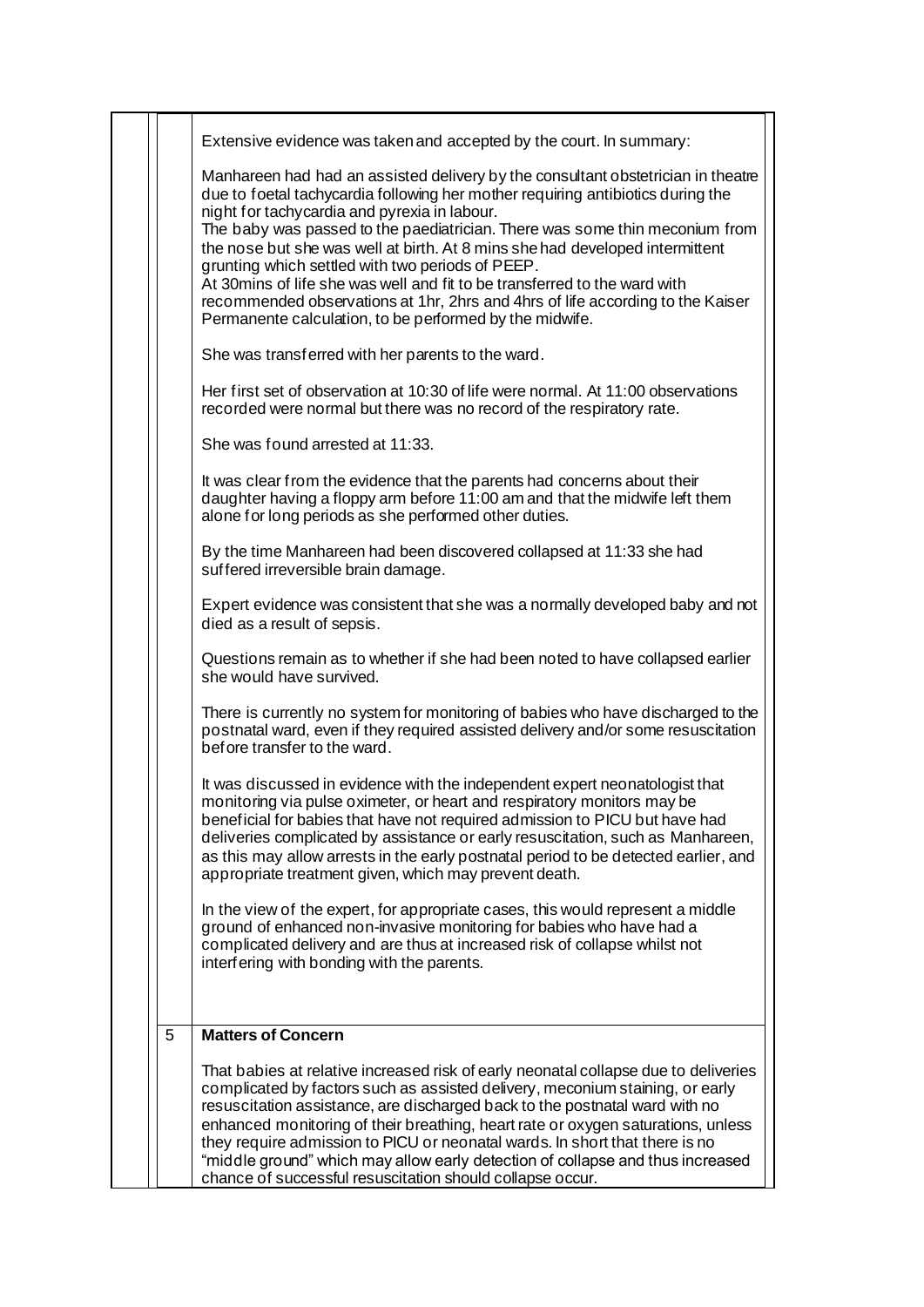|   | Extensive evidence was taken and accepted by the court. In summary:                                                                                                                                                                                                                                                                                                                                                                                                                                                                                                                                                                                              |
|---|------------------------------------------------------------------------------------------------------------------------------------------------------------------------------------------------------------------------------------------------------------------------------------------------------------------------------------------------------------------------------------------------------------------------------------------------------------------------------------------------------------------------------------------------------------------------------------------------------------------------------------------------------------------|
|   | Manhareen had had an assisted delivery by the consultant obstetrician in theatre<br>due to foetal tachycardia following her mother requiring antibiotics during the<br>night for tachycardia and pyrexia in labour.<br>The baby was passed to the paediatrician. There was some thin meconium from<br>the nose but she was well at birth. At 8 mins she had developed intermittent<br>grunting which settled with two periods of PEEP.<br>At 30mins of life she was well and fit to be transferred to the ward with<br>recommended observations at 1hr, 2hrs and 4hrs of life according to the Kaiser<br>Permanente calculation, to be performed by the midwife. |
|   | She was transferred with her parents to the ward.                                                                                                                                                                                                                                                                                                                                                                                                                                                                                                                                                                                                                |
|   | Her first set of observation at 10:30 of life were normal. At 11:00 observations<br>recorded were normal but there was no record of the respiratory rate.                                                                                                                                                                                                                                                                                                                                                                                                                                                                                                        |
|   | She was found arrested at 11:33.                                                                                                                                                                                                                                                                                                                                                                                                                                                                                                                                                                                                                                 |
|   | It was clear from the evidence that the parents had concerns about their<br>daughter having a floppy arm before 11:00 am and that the midwife left them<br>alone for long periods as she performed other duties.                                                                                                                                                                                                                                                                                                                                                                                                                                                 |
|   | By the time Manhareen had been discovered collapsed at 11:33 she had<br>suffered irreversible brain damage.                                                                                                                                                                                                                                                                                                                                                                                                                                                                                                                                                      |
|   | Expert evidence was consistent that she was a normally developed baby and not<br>died as a result of sepsis.                                                                                                                                                                                                                                                                                                                                                                                                                                                                                                                                                     |
|   | Questions remain as to whether if she had been noted to have collapsed earlier<br>she would have survived.                                                                                                                                                                                                                                                                                                                                                                                                                                                                                                                                                       |
|   | There is currently no system for monitoring of babies who have discharged to the<br>postnatal ward, even if they required assisted delivery and/or some resuscitation<br>before transfer to the ward.                                                                                                                                                                                                                                                                                                                                                                                                                                                            |
|   | It was discussed in evidence with the independent expert neonatologist that<br>monitoring via pulse oximeter, or heart and respiratory monitors may be<br>beneficial for babies that have not required admission to PICU but have had<br>deliveries complicated by assistance or early resuscitation, such as Manhareen,<br>as this may allow arrests in the early postnatal period to be detected earlier, and<br>appropriate treatment given, which may prevent death.                                                                                                                                                                                         |
|   | In the view of the expert, for appropriate cases, this would represent a middle<br>ground of enhanced non-invasive monitoring for babies who have had a<br>complicated delivery and are thus at increased risk of collapse whilst not<br>interfering with bonding with the parents.                                                                                                                                                                                                                                                                                                                                                                              |
| 5 | <b>Matters of Concern</b>                                                                                                                                                                                                                                                                                                                                                                                                                                                                                                                                                                                                                                        |
|   | That babies at relative increased risk of early neonatal collapse due to deliveries<br>complicated by factors such as assisted delivery, meconium staining, or early<br>resuscitation assistance, are discharged back to the postnatal ward with no<br>enhanced monitoring of their breathing, heart rate or oxygen saturations, unless<br>they require admission to PICU or neonatal wards. In short that there is no<br>"middle ground" which may allow early detection of collapse and thus increased<br>chance of successful resuscitation should collapse occur.                                                                                            |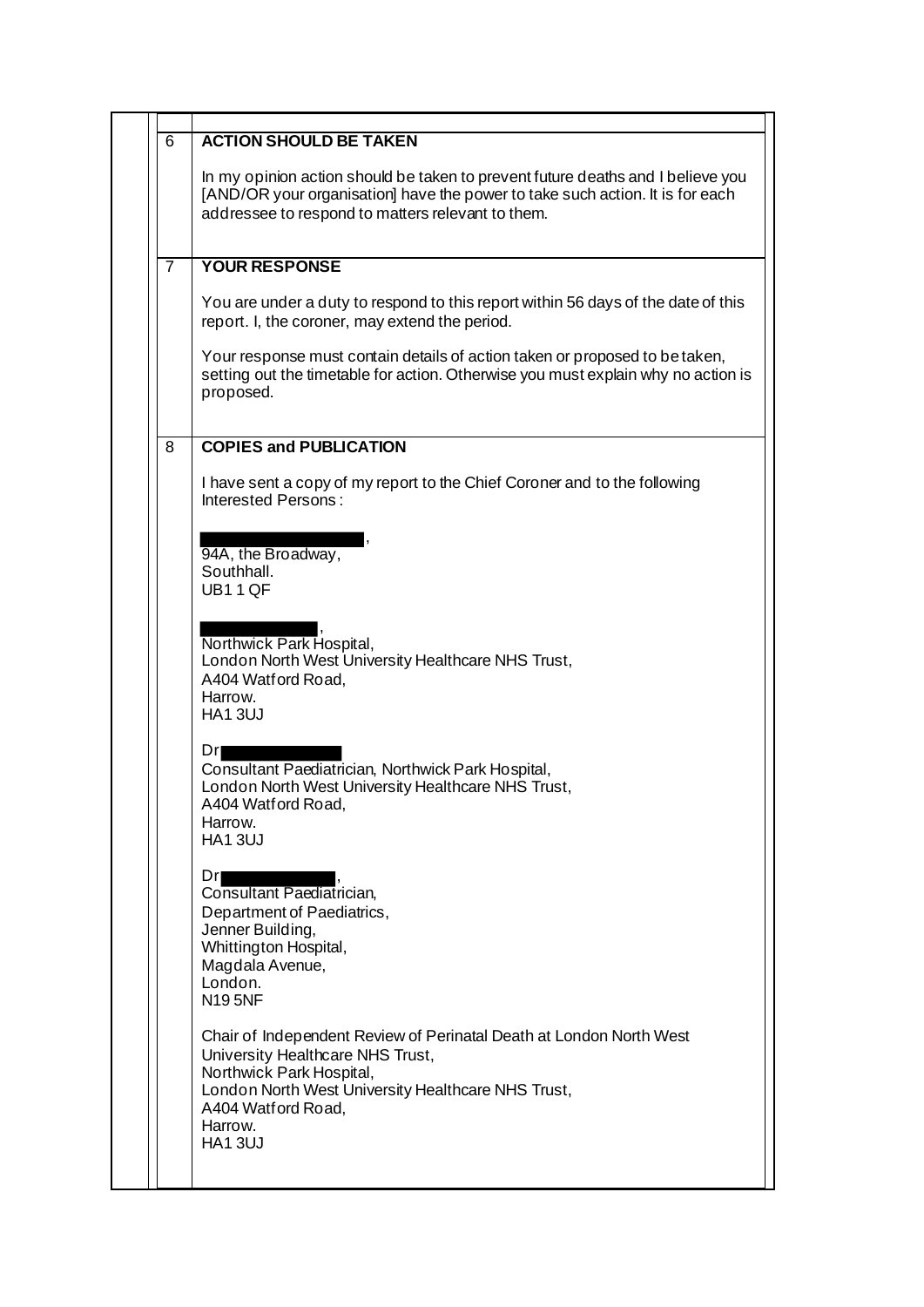| 6              | <b>ACTION SHOULD BE TAKEN</b>                                                                                                                                                                                                                |
|----------------|----------------------------------------------------------------------------------------------------------------------------------------------------------------------------------------------------------------------------------------------|
|                | In my opinion action should be taken to prevent future deaths and I believe you<br>[AND/OR your organisation] have the power to take such action. It is for each<br>addressee to respond to matters relevant to them.                        |
| $\overline{7}$ | <b>YOUR RESPONSE</b>                                                                                                                                                                                                                         |
|                | You are under a duty to respond to this report within 56 days of the date of this<br>report. I, the coroner, may extend the period.                                                                                                          |
|                | Your response must contain details of action taken or proposed to be taken,<br>setting out the timetable for action. Otherwise you must explain why no action is<br>proposed.                                                                |
| 8              | <b>COPIES and PUBLICATION</b>                                                                                                                                                                                                                |
|                | I have sent a copy of my report to the Chief Coroner and to the following<br>Interested Persons:                                                                                                                                             |
|                | 94A, the Broadway,<br>Southhall.<br>UB11QF                                                                                                                                                                                                   |
|                | Northwick Park Hospital,<br>London North West University Healthcare NHS Trust,<br>A404 Watf ord Road,<br>Harrow.<br><b>HA13UJ</b>                                                                                                            |
|                | Dri<br>Consultant Paediatrician, Northwick Park Hospital,<br>London North West University Healthcare NHS Trust,<br>A404 Watford Road,<br>Harrow.<br><b>HA13UJ</b>                                                                            |
|                | Drl<br>Consultant Paediatrician,<br>Department of Paediatrics,<br>Jenner Building,<br>Whittington Hospital,<br>Magdala Avenue,<br>London.<br><b>N195NF</b>                                                                                   |
|                | Chair of Independent Review of Perinatal Death at London North West<br>University Healthcare NHS Trust,<br>Northwick Park Hospital,<br>London North West University Healthcare NHS Trust,<br>A404 Watf ord Road,<br>Harrow.<br><b>HA13UJ</b> |